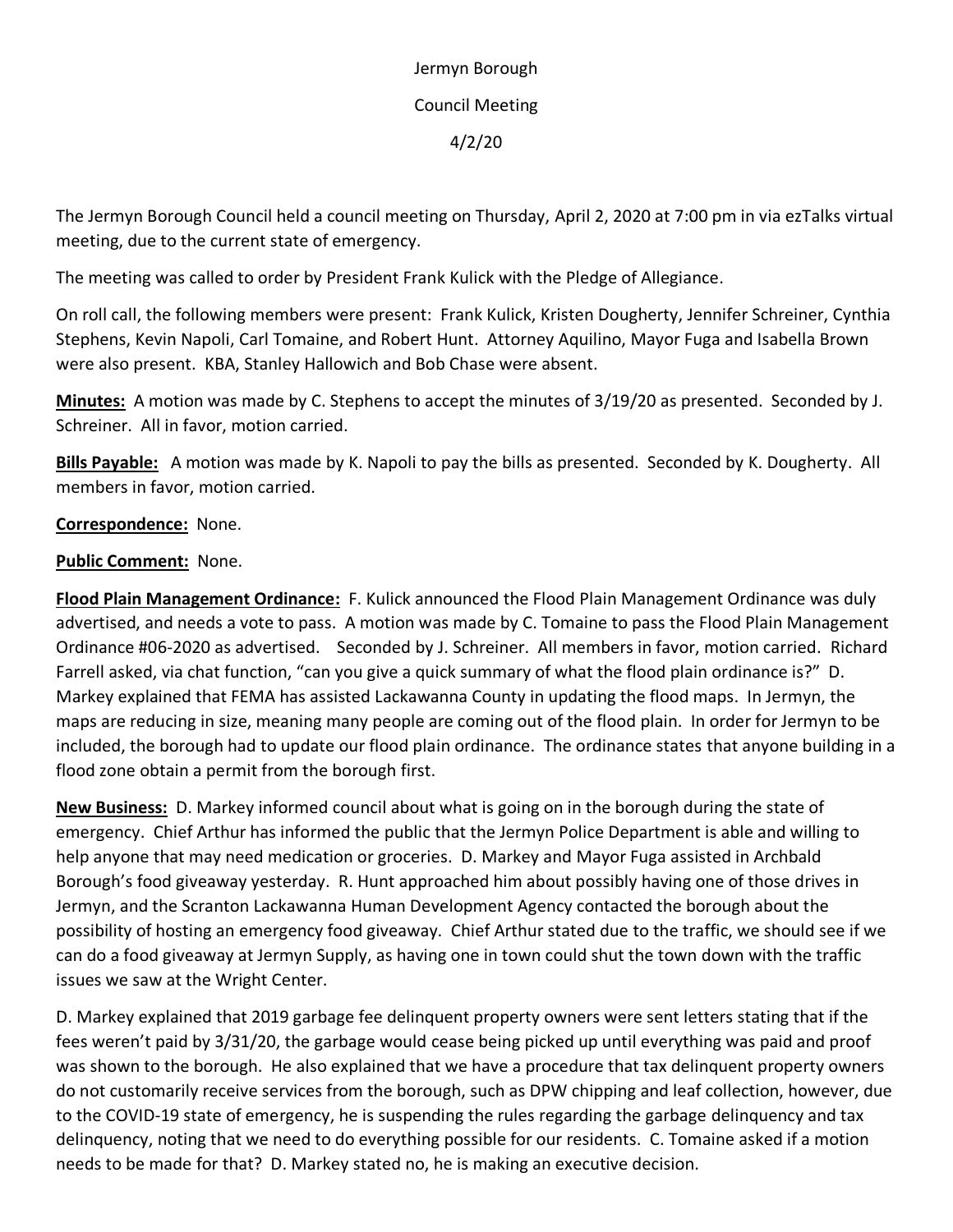Jermyn Borough Council Meeting 4/2/20

The Jermyn Borough Council held a council meeting on Thursday, April 2, 2020 at 7:00 pm in via ezTalks virtual meeting, due to the current state of emergency.

The meeting was called to order by President Frank Kulick with the Pledge of Allegiance.

On roll call, the following members were present: Frank Kulick, Kristen Dougherty, Jennifer Schreiner, Cynthia Stephens, Kevin Napoli, Carl Tomaine, and Robert Hunt. Attorney Aquilino, Mayor Fuga and Isabella Brown were also present. KBA, Stanley Hallowich and Bob Chase were absent.

**Minutes:** A motion was made by C. Stephens to accept the minutes of 3/19/20 as presented. Seconded by J. Schreiner. All in favor, motion carried.

**Bills Payable:** A motion was made by K. Napoli to pay the bills as presented. Seconded by K. Dougherty. All members in favor, motion carried.

## **Correspondence:** None.

## **Public Comment:** None.

**Flood Plain Management Ordinance:** F. Kulick announced the Flood Plain Management Ordinance was duly advertised, and needs a vote to pass. A motion was made by C. Tomaine to pass the Flood Plain Management Ordinance #06-2020 as advertised. Seconded by J. Schreiner. All members in favor, motion carried. Richard Farrell asked, via chat function, "can you give a quick summary of what the flood plain ordinance is?" D. Markey explained that FEMA has assisted Lackawanna County in updating the flood maps. In Jermyn, the maps are reducing in size, meaning many people are coming out of the flood plain. In order for Jermyn to be included, the borough had to update our flood plain ordinance. The ordinance states that anyone building in a flood zone obtain a permit from the borough first.

**New Business:** D. Markey informed council about what is going on in the borough during the state of emergency. Chief Arthur has informed the public that the Jermyn Police Department is able and willing to help anyone that may need medication or groceries. D. Markey and Mayor Fuga assisted in Archbald Borough's food giveaway yesterday. R. Hunt approached him about possibly having one of those drives in Jermyn, and the Scranton Lackawanna Human Development Agency contacted the borough about the possibility of hosting an emergency food giveaway. Chief Arthur stated due to the traffic, we should see if we can do a food giveaway at Jermyn Supply, as having one in town could shut the town down with the traffic issues we saw at the Wright Center.

D. Markey explained that 2019 garbage fee delinquent property owners were sent letters stating that if the fees weren't paid by 3/31/20, the garbage would cease being picked up until everything was paid and proof was shown to the borough. He also explained that we have a procedure that tax delinquent property owners do not customarily receive services from the borough, such as DPW chipping and leaf collection, however, due to the COVID-19 state of emergency, he is suspending the rules regarding the garbage delinquency and tax delinquency, noting that we need to do everything possible for our residents. C. Tomaine asked if a motion needs to be made for that? D. Markey stated no, he is making an executive decision.